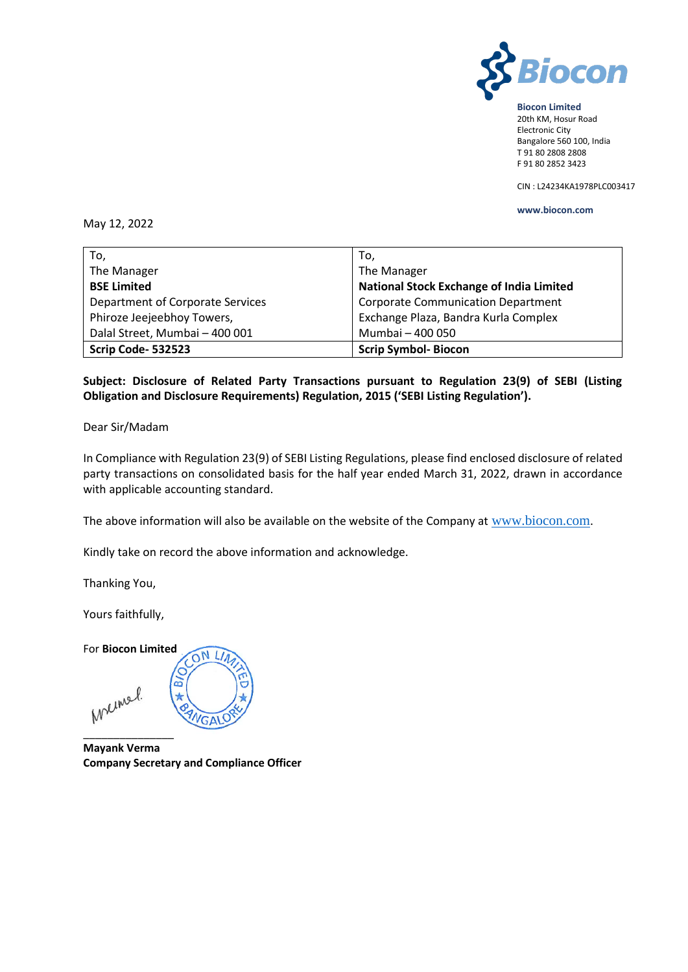

### **Biocon Limited** 20th KM, Hosur Road Electronic City Bangalore 560 100, India T 91 80 2808 2808 F 91 80 2852 3423

CIN : L24234KA1978PLC003417

## **www.biocon.com**

## May 12, 2022

| To,                              | To,                                             |
|----------------------------------|-------------------------------------------------|
| The Manager                      | The Manager                                     |
| <b>BSE Limited</b>               | <b>National Stock Exchange of India Limited</b> |
| Department of Corporate Services | <b>Corporate Communication Department</b>       |
| Phiroze Jeejeebhoy Towers,       | Exchange Plaza, Bandra Kurla Complex            |
| Dalal Street, Mumbai - 400 001   | Mumbai - 400 050                                |
| Scrip Code-532523                | <b>Scrip Symbol- Biocon</b>                     |

# **Subject: Disclosure of Related Party Transactions pursuant to Regulation 23(9) of SEBI (Listing Obligation and Disclosure Requirements) Regulation, 2015 ('SEBI Listing Regulation').**

Dear Sir/Madam

In Compliance with Regulation 23(9) of SEBI Listing Regulations, please find enclosed disclosure of related party transactions on consolidated basis for the half year ended March 31, 2022, drawn in accordance with applicable accounting standard.

The above information will also be available on the website of the Company at [www.biocon.com](http://www.biocon.com/).

Kindly take on record the above information and acknowledge.

Thanking You,

Yours faithfully,

For **Biocon Limited** ON LI Ċ ക് Melmel. VGALO \_\_\_\_\_\_\_\_\_\_\_\_\_\_\_

**Mayank Verma Company Secretary and Compliance Officer**